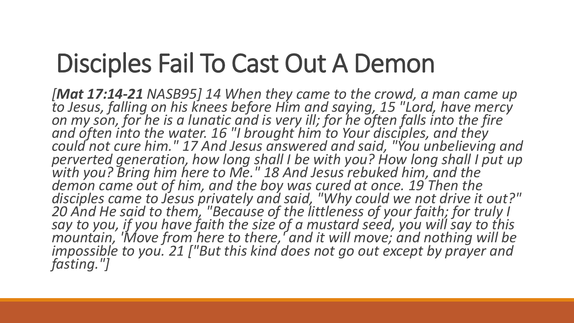*[Mat 17:14-21 NASB95] 14 When they came to the crowd, a man came up to Jesus, falling on his knees before Him and saying, 15 "Lord, have mercy on my son, for he is a lunatic and is very ill; for he often falls into the fire and often into the water. 16 "I brought him to Your disciples, and they could not cure him." 17 And Jesus answered and said, "You unbelieving and perverted generation, how long shall I be with you? How long shall I put up with you? Bring him here to Me." 18 And Jesus rebuked him, and the*  demon came out of him, and the boy was cured at once. 19 Then the *disciples came to Jesus privately and said, "Why could we not drive it out?" 20 And He said to them, "Because of the littleness of your faith; for truly I say to you, if you have faith the size of a mustard seed, you will say to this mountain, 'Move from here to there,' and it will move; and nothing will be impossible to you. 21 ["But this kind does not go out except by prayer and fasting."]*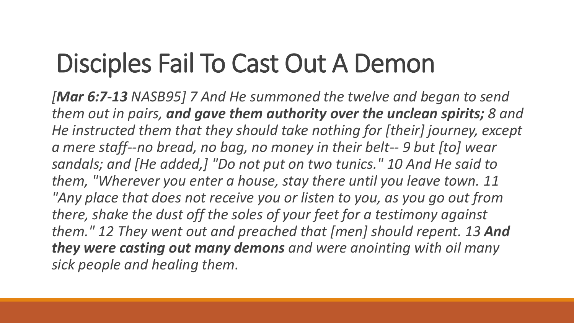*[Mar 6:7-13 NASB95] 7 And He summoned the twelve and began to send them out in pairs, and gave them authority over the unclean spirits; 8 and He instructed them that they should take nothing for [their] journey, except a mere staff--no bread, no bag, no money in their belt-- 9 but [to] wear sandals; and [He added,] "Do not put on two tunics." 10 And He said to them, "Wherever you enter a house, stay there until you leave town. 11 "Any place that does not receive you or listen to you, as you go out from there, shake the dust off the soles of your feet for a testimony against them." 12 They went out and preached that [men] should repent. 13 And they were casting out many demons and were anointing with oil many sick people and healing them.*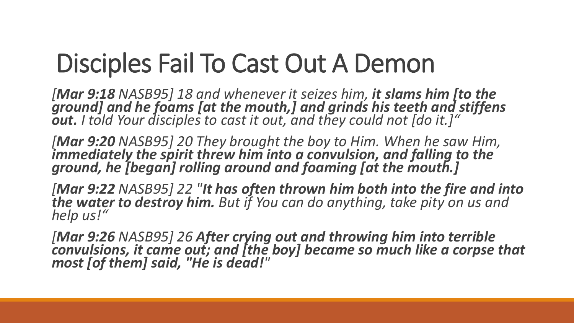*[Mar 9:18 NASB95] 18 and whenever it seizes him, it slams him [to the ground] and he foams [at the mouth,] and grinds his teeth and stiffens out. I told Your disciples to cast it out, and they could not [do it.]"*

*[Mar 9:20 NASB95] 20 They brought the boy to Him. When he saw Him, immediately the spirit threw him into a convulsion, and falling to the ground, he [began] rolling around and foaming [at the mouth.]*

*[Mar 9:22 NASB95] 22 "It has often thrown him both into the fire and into the water to destroy him. But if You can do anything, take pity on us and help us!"*

*[Mar 9:26 NASB95] 26 After crying out and throwing him into terrible convulsions, it came out; and [the boy] became so much like a corpse that most [of them] said, "He is dead!"*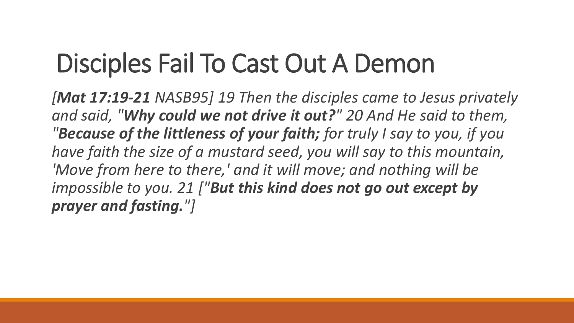*[Mat 17:19-21 NASB95] 19 Then the disciples came to Jesus privately and said, "Why could we not drive it out?" 20 And He said to them, "Because of the littleness of your faith; for truly I say to you, if you have faith the size of a mustard seed, you will say to this mountain, 'Move from here to there,' and it will move; and nothing will be impossible to you. 21 ["But this kind does not go out except by prayer and fasting."]*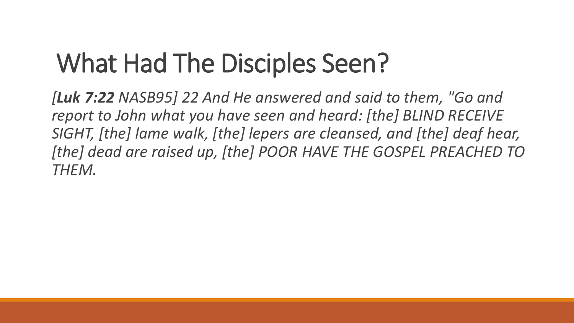## What Had The Disciples Seen?

*[Luk 7:22 NASB95] 22 And He answered and said to them, "Go and report to John what you have seen and heard: [the] BLIND RECEIVE SIGHT, [the] lame walk, [the] lepers are cleansed, and [the] deaf hear, [the] dead are raised up, [the] POOR HAVE THE GOSPEL PREACHED TO THEM.*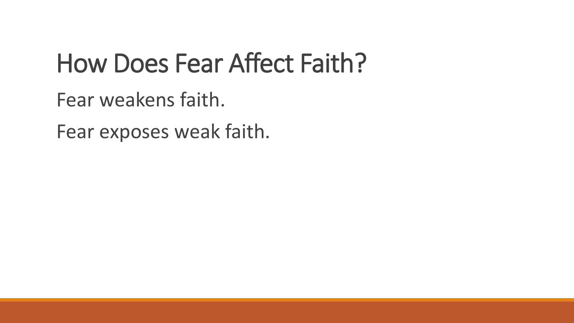### How Does Fear Affect Faith?

Fear weakens faith.

Fear exposes weak faith.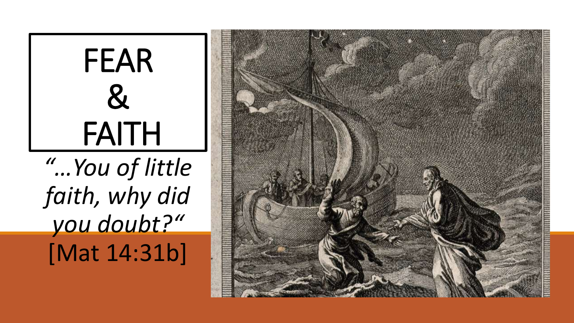

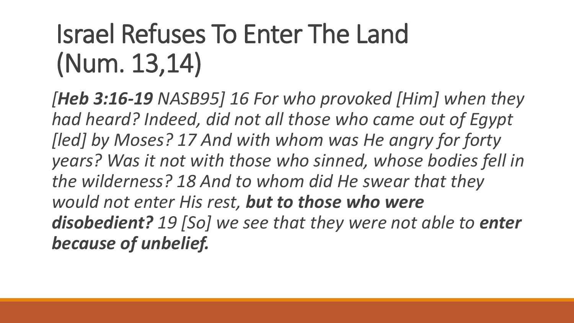## Israel Refuses To Enter The Land (Num. 13,14)

*[Heb 3:16-19 NASB95] 16 For who provoked [Him] when they had heard? Indeed, did not all those who came out of Egypt [led] by Moses? 17 And with whom was He angry for forty years? Was it not with those who sinned, whose bodies fell in the wilderness? 18 And to whom did He swear that they would not enter His rest, but to those who were disobedient? 19 [So] we see that they were not able to enter because of unbelief.*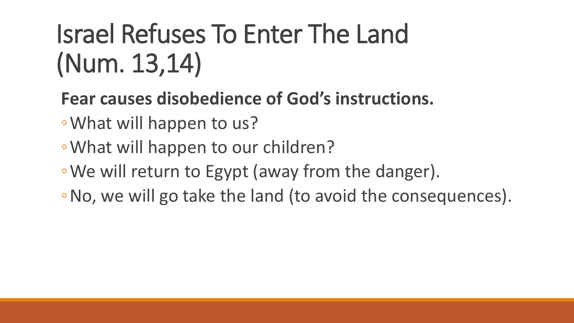## Israel Refuses To Enter The Land (Num. 13,14)

- **Fear causes disobedience of God's instructions.**
- ◦What will happen to us?
- ◦What will happen to our children?
- ◦We will return to Egypt (away from the danger).
- ◦No, we will go take the land (to avoid the consequences).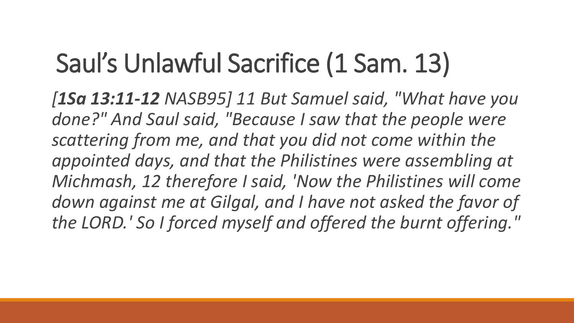## Saul's Unlawful Sacrifice (1 Sam. 13)

*[1Sa 13:11-12 NASB95] 11 But Samuel said, "What have you done?" And Saul said, "Because I saw that the people were scattering from me, and that you did not come within the appointed days, and that the Philistines were assembling at Michmash, 12 therefore I said, 'Now the Philistines will come*  down against me at Gilgal, and I have not asked the favor of *the LORD.' So I forced myself and offered the burnt offering."*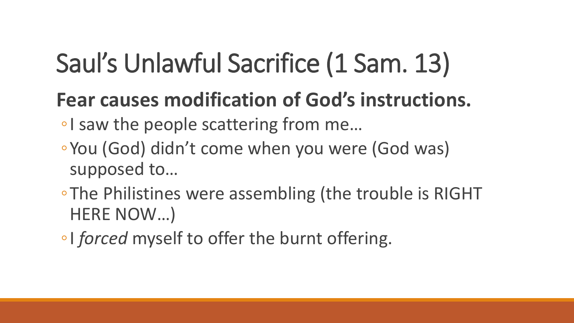# Saul's Unlawful Sacrifice (1 Sam. 13)

#### **Fear causes modification of God's instructions.**

- ◦I saw the people scattering from me…
- ◦You (God) didn't come when you were (God was) supposed to…
- ◦The Philistines were assembling (the trouble is RIGHT HERE NOW…)
- ◦I *forced* myself to offer the burnt offering.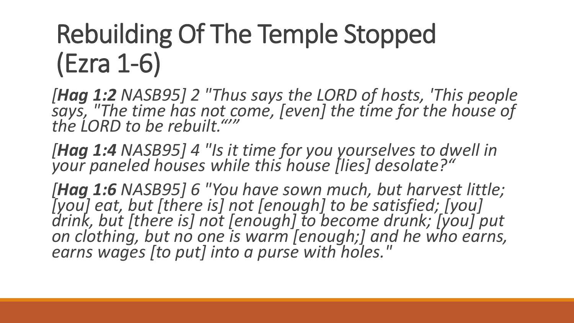## Rebuilding Of The Temple Stopped (Ezra 1-6)

*[Hag 1:2 NASB95] 2 "Thus says the LORD of hosts, 'This people says, "The time has not come, [even] the time for the house of the LORD to be rebuilt."'"*

*[Hag 1:4 NASB95] 4 "Is it time for you yourselves to dwell in your paneled houses while this house [lies] desolate?"*

*[Hag 1:6 NASB95] 6 "You have sown much, but harvest little; [you] eat, but [there is] not [enough] to be satisfied; [you] drink, but [there is] not [enough] to become drunk; [you] put on clothing, but no one is warm [enough;] and he who earns, earns wages [to put] into a purse with holes."*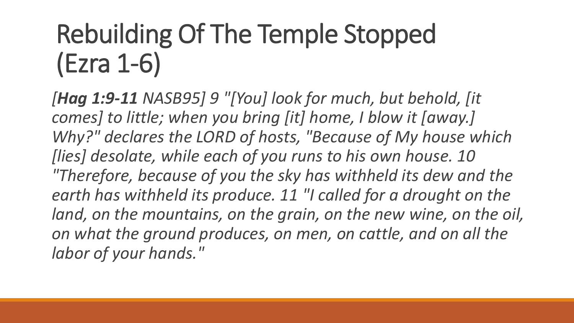## Rebuilding Of The Temple Stopped (Ezra 1-6)

*[Hag 1:9-11 NASB95] 9 "[You] look for much, but behold, [it comes] to little; when you bring [it] home, I blow it [away.] Why?" declares the LORD of hosts, "Because of My house which [lies] desolate, while each of you runs to his own house. 10 "Therefore, because of you the sky has withheld its dew and the earth has withheld its produce. 11 "I called for a drought on the land, on the mountains, on the grain, on the new wine, on the oil, on what the ground produces, on men, on cattle, and on all the labor of your hands."*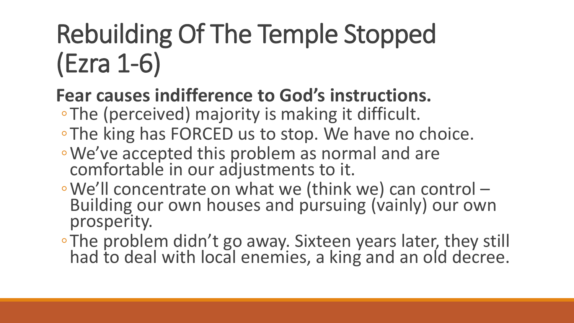## Rebuilding Of The Temple Stopped (Ezra 1-6)

#### **Fear causes indifference to God's instructions.**

- ◦The (perceived) majority is making it difficult.
- ◦The king has FORCED us to stop. We have no choice.
- ◦We've accepted this problem as normal and are comfortable in our adjustments to it.
- ◦We'll concentrate on what we (think we) can control Building our own houses and pursuing (vainly) our own prosperity.
- ◦The problem didn't go away. Sixteen years later, they still had to deal with local enemies, a king and an old decree.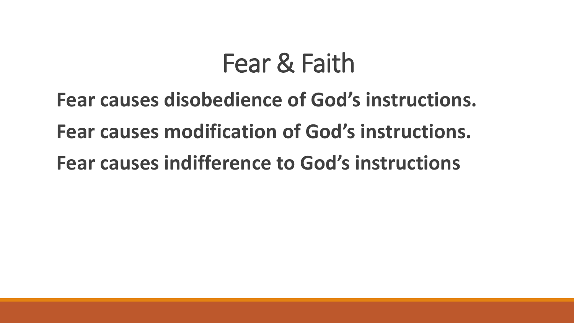### Fear & Faith

**Fear causes disobedience of God's instructions. Fear causes modification of God's instructions. Fear causes indifference to God's instructions**